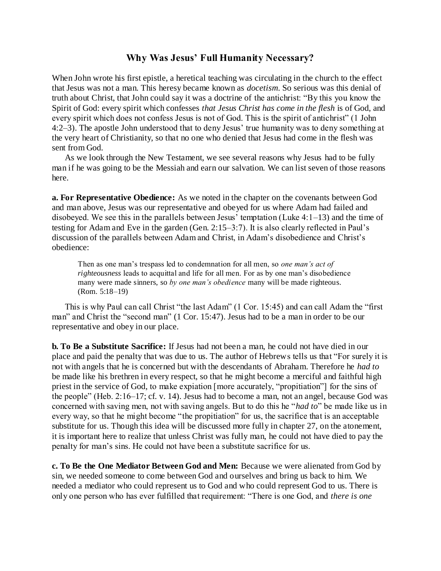## **Why Was Jesus' Full Humanity Necessary?**

When John wrote his first epistle, a heretical teaching was circulating in the church to the effect that Jesus was not a man. This heresy became known as *docetism*. So serious was this denial of truth about Christ, that John could say it was a doctrine of the antichrist: "By this you know the Spirit of God: every spirit which confesses *that Jesus Christ has come in the flesh* is of God, and every spirit which does not confess Jesus is not of God. This is the spirit of antichrist" (1 John 4:2–3). The apostle John understood that to deny Jesus' true humanity was to deny something at the very heart of Christianity, so that no one who denied that Jesus had come in the flesh was sent from God.

As we look through the New Testament, we see several reasons why Jesus had to be fully man if he was going to be the Messiah and earn our salvation. We can list seven of those reasons here.

**a. For Representative Obedience:** As we noted in the chapter on the covenants between God and man above, Jesus was our representative and obeyed for us where Adam had failed and disobeyed. We see this in the parallels between Jesus' temptation (Luke 4:1–13) and the time of testing for Adam and Eve in the garden (Gen. 2:15–3:7). It is also clearly reflected in Paul's discussion of the parallels between Adam and Christ, in Adam's disobedience and Christ's obedience:

Then as one man's trespass led to condemnation for all men, so *one man's act of righteousness* leads to acquittal and life for all men. For as by one man's disobedience many were made sinners, so *by one man's obedience* many will be made righteous. (Rom. 5:18–19)

This is why Paul can call Christ "the last Adam" (1 Cor. 15:45) and can call Adam the "first man" and Christ the "second man" (1 Cor. 15:47). Jesus had to be a man in order to be our representative and obey in our place.

**b. To Be a Substitute Sacrifice:** If Jesus had not been a man, he could not have died in our place and paid the penalty that was due to us. The author of Hebrews tells us that "For surely it is not with angels that he is concerned but with the descendants of Abraham. Therefore he *had to* be made like his brethren in every respect, so that he might become a merciful and faithful high priest in the service of God, to make expiation [more accurately, "propitiation"] for the sins of the people" (Heb. 2:16–17; cf. v. 14). Jesus had to become a man, not an angel, because God was concerned with saving men, not with saving angels. But to do this he "*had to*" be made like us in every way, so that he might become "the propitiation" for us, the sacrifice that is an acceptable substitute for us. Though this idea will be discussed more fully in chapter 27, on the atonement, it is important here to realize that unless Christ was fully man, he could not have died to pay the penalty for man's sins. He could not have been a substitute sacrifice for us.

**c. To Be the One Mediator Between God and Men:** Because we were alienated from God by sin, we needed someone to come between God and ourselves and bring us back to him. We needed a mediator who could represent us to God and who could represent God to us. There is only one person who has ever fulfilled that requirement: "There is one God, and *there is one*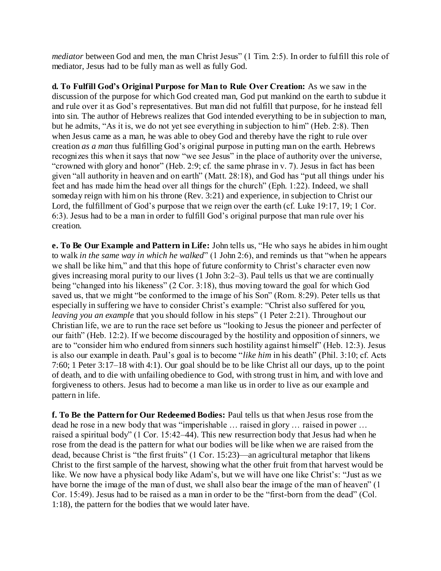*mediator* between God and men, the man Christ Jesus" (1 Tim. 2:5). In order to fulfill this role of mediator, Jesus had to be fully man as well as fully God.

**d. To Fulfill God's Original Purpose for Man to Rule Over Creation:** As we saw in the discussion of the purpose for which God created man, God put mankind on the earth to subdue it and rule over it as God's representatives. But man did not fulfill that purpose, for he instead fell into sin. The author of Hebrews realizes that God intended everything to be in subjection to man, but he admits, "As it is, we do not yet see everything in subjection to him" (Heb. 2:8). Then when Jesus came as a man, he was able to obey God and thereby have the right to rule over creation *as a man* thus fulfilling God's original purpose in putting man on the earth. Hebrews recognizes this when it says that now "we see Jesus" in the place of authority over the universe, "crowned with glory and honor" (Heb. 2:9; cf. the same phrase in v. 7). Jesus in fact has been given "all authority in heaven and on earth" (Matt. 28:18), and God has "put all things under his feet and has made him the head over all things for the church" (Eph. 1:22). Indeed, we shall someday reign with him on his throne (Rev. 3:21) and experience, in subjection to Christ our Lord, the fulfillment of God's purpose that we reign over the earth (cf. Luke 19:17, 19: 1 Cor. 6:3). Jesus had to be a man in order to fulfill God's original purpose that man rule over his creation.

**e. To Be Our Example and Pattern in Life:** John tells us, "He who says he abides in him ought to walk *in the same way in which he walked*" (1 John 2:6), and reminds us that "when he appears we shall be like him," and that this hope of future conformity to Christ's character even now gives increasing moral purity to our lives (1 John 3:2–3). Paul tells us that we are continually being "changed into his likeness" (2 Cor. 3:18), thus moving toward the goal for which God saved us, that we might "be conformed to the image of his Son" (Rom. 8:29). Peter tells us that especially in suffering we have to consider Christ's example: "Christ also suffered for you, *leaving you an example* that you should follow in his steps" (1 Peter 2:21). Throughout our Christian life, we are to run the race set before us "looking to Jesus the pioneer and perfecter of our faith" (Heb. 12:2). If we become discouraged by the hostility and opposition of sinners, we are to "consider him who endured from sinners such hostility against himself" (Heb. 12:3). Jesus is also our example in death. Paul's goal is to become "*like him* in his death" (Phil. 3:10; cf. Acts 7:60; 1 Peter 3:17–18 with 4:1). Our goal should be to be like Christ all our days, up to the point of death, and to die with unfailing obedience to God, with strong trust in him, and with love and forgiveness to others. Jesus had to become a man like us in order to live as our example and pattern in life.

**f. To Be the Pattern for Our Redeemed Bodies:** Paul tells us that when Jesus rose from the dead he rose in a new body that was "imperishable … raised in glory … raised in power … raised a spiritual body" (1 Cor. 15:42–44). This new resurrection body that Jesus had when he rose from the dead is the pattern for what our bodies will be like when we are raised from the dead, because Christ is "the first fruits" (1 Cor. 15:23)—an agricultural metaphor that likens Christ to the first sample of the harvest, showing what the other fruit from that harvest would be like. We now have a physical body like Adam's, but we will have one like Christ's: "Just as we have borne the image of the man of dust, we shall also bear the image of the man of heaven" (1 Cor. 15:49). Jesus had to be raised as a man in order to be the "first-born from the dead" (Col. 1:18), the pattern for the bodies that we would later have.